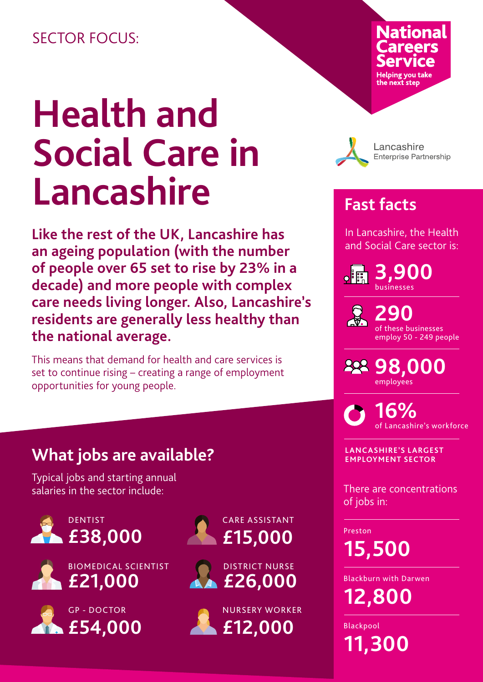## SECTOR FOCUS:

# **Health and Social Care in Lancashire**

**Like the rest of the UK, Lancashire has an ageing population (with the number of people over 65 set to rise by 23% in a decade) and more people with complex care needs living longer. Also, Lancashire's residents are generally less healthy than the national average.**

This means that demand for health and care services is set to continue rising – creating a range of employment opportunities for young people.

# **What jobs are available?**

Typical jobs and starting annual salaries in the sector include:













Lancashire **Enterprise Partnership** 

# **Fast facts**

In Lancashire, the Health and Social Care sector is:

**3,900**   $\mathsf{o}$  $\mathsf{E}$ businesses

> **290**  of these businesses employ 50 - 249 people

**98,000**  employees

**16%**  of Lancashire's workforce

**LANCASHIRE'S LARGEST EMPLOYMENT SECTOR**

There are concentrations of jobs in:

Preston

**15,500** 

Blackburn with Darwen

**12,800** 

Blackpool

**11,300**